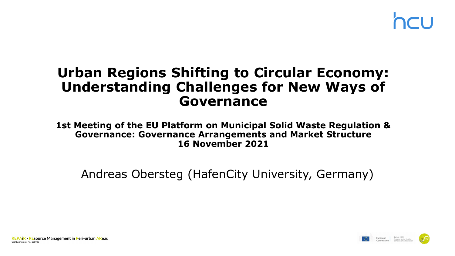### **Urban Regions Shifting to Circular Economy: Understanding Challenges for New Ways of Governance**

**1st Meeting of the EU Platform on Municipal Solid Waste Regulation & Governance: Governance Arrangements and Market Structure 16 November 2021**

Andreas Obersteg (HafenCity University, Germany)

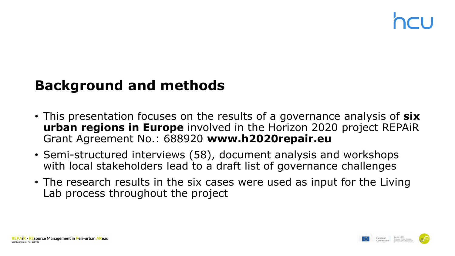### **Background and methods**

- This presentation focuses on the results of a governance analysis of **six urban regions in Europe** involved in the Horizon 2020 project REPAiR Grant Agreement No.: 688920 **www.h2020repair.eu**
- Semi-structured interviews (58), document analysis and workshops with local stakeholders lead to a draft list of governance challenges
- The research results in the six cases were used as input for the Living Lab process throughout the project

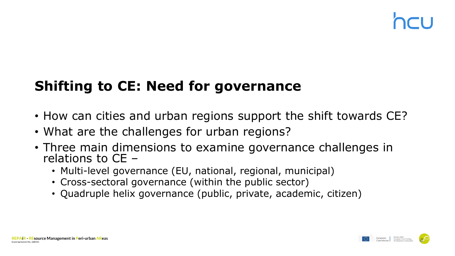## **Shifting to CE: Need for governance**

- How can cities and urban regions support the shift towards CE?
- What are the challenges for urban regions?
- Three main dimensions to examine governance challenges in relations to CE –
	- Multi-level governance (EU, national, regional, municipal)
	- Cross-sectoral governance (within the public sector)
	- Quadruple helix governance (public, private, academic, citizen)



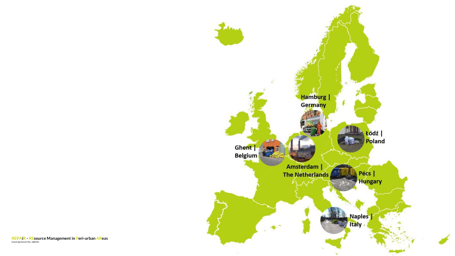

REPAIR - REsource Management in Peri-urban AReas<br>Grant Agreement No.: 688920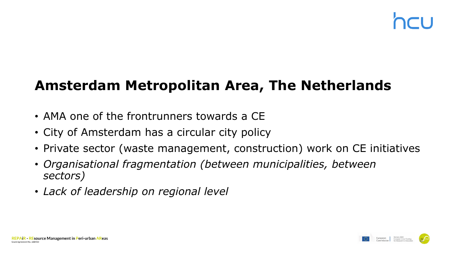### **Amsterdam Metropolitan Area, The Netherlands**

- AMA one of the frontrunners towards a CE
- City of Amsterdam has a circular city policy
- Private sector (waste management, construction) work on CE initiatives
- *Organisational fragmentation (between municipalities, between sectors)*
- *Lack of leadership on regional level*



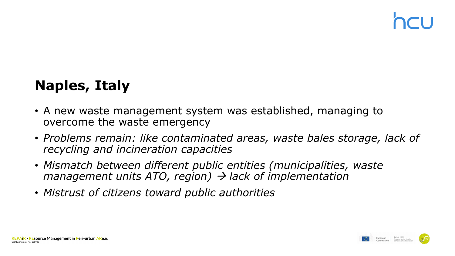## **Naples, Italy**

- A new waste management system was established, managing to overcome the waste emergency
- *Problems remain: like contaminated areas, waste bales storage, lack of recycling and incineration capacities*
- *Mismatch between different public entities (municipalities, waste management units ATO, region) lack of implementation*
- *Mistrust of citizens toward public authorities*

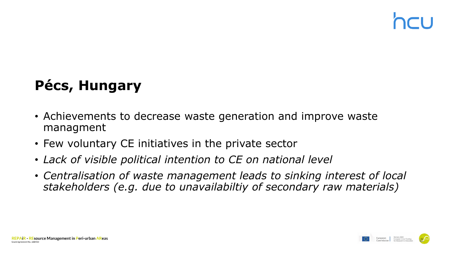# **Pécs, Hungary**

- Achievements to decrease waste generation and improve waste managment
- Few voluntary CE initiatives in the private sector
- *Lack of visible political intention to CE on national level*
- *Centralisation of waste management leads to sinking interest of local stakeholders (e.g. due to unavailabiltiy of secondary raw materials)*



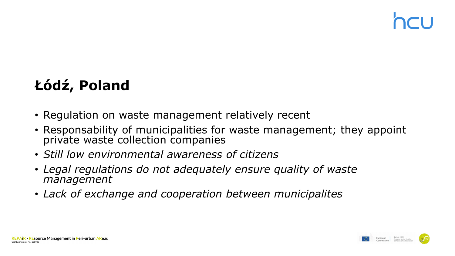# **Łódź, Poland**

- Regulation on waste management relatively recent
- Responsability of municipalities for waste management; they appoint private waste collection companies
- *Still low environmental awareness of citizens*
- *Legal regulations do not adequately ensure quality of waste management*
- *Lack of exchange and cooperation between municipalites*



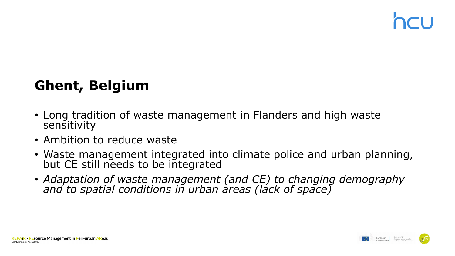### **Ghent, Belgium**

- Long tradition of waste management in Flanders and high waste sensitivity
- Ambition to reduce waste
- Waste management integrated into climate police and urban planning, but CE still needs to be integrated
- *Adaptation of waste management (and CE) to changing demography and to spatial conditions in urban areas (lack of space)*



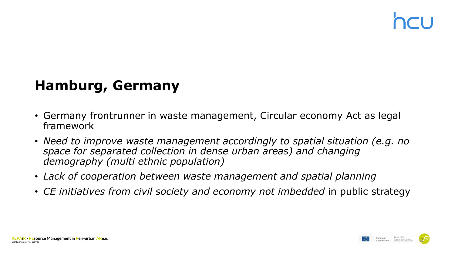### **Hamburg, Germany**

- Germany frontrunner in waste management, Circular economy Act as legal framework
- *Need to improve waste management accordingly to spatial situation (e.g. no space for separated collection in dense urban areas) and changing demography (multi ethnic population)*
- *Lack of cooperation between waste management and spatial planning*
- *CE initiatives from civil society and economy not imbedded* in public strategy

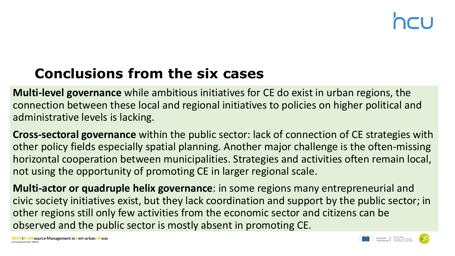## **Conclusions from the six cases**

**Multi-level governance** while ambitious initiatives for CE do exist in urban regions, the connection between these local and regional initiatives to policies on higher political and administrative levels is lacking.

**Cross-sectoral governance** within the public sector: lack of connection of CE strategies with other policy fields especially spatial planning. Another major challenge is the often-missing horizontal cooperation between municipalities. Strategies and activities often remain local, not using the opportunity of promoting CE in larger regional scale.

**Multi-actor or quadruple helix governance**: in some regions many entrepreneurial and civic society initiatives exist, but they lack coordination and support by the public sector; in other regions still only few activities from the economic sector and citizens can be observed and the public sector is mostly absent in promoting CE.

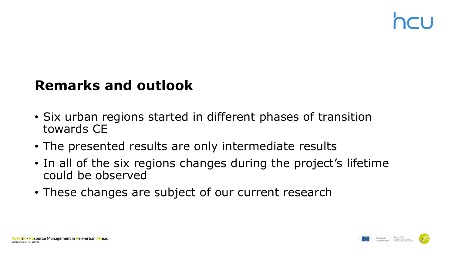### **Remarks and outlook**

- Six urban regions started in different phases of transition towards CE
- The presented results are only intermediate results
- In all of the six regions changes during the project's lifetime could be observed
- These changes are subject of our current research



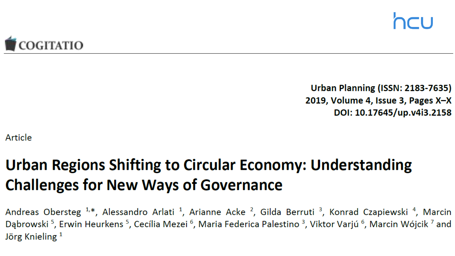

Urban Planning (ISSN: 2183-7635) 2019, Volume 4, Issue 3, Pages X-X DOI: 10.17645/up.v4i3.2158

Article

# Urban Regions Shifting to Circular Economy: Understanding **Challenges for New Ways of Governance**

Andreas Obersteg <sup>1,\*</sup>, Alessandro Arlati<sup>1</sup>, Arianne Acke<sup>2</sup>, Gilda Berruti<sup>3</sup>, Konrad Czapiewski<sup>4</sup>, Marcin Dąbrowski<sup>5</sup>, Erwin Heurkens<sup>5</sup>, Cecília Mezei<sup>6</sup>, Maria Federica Palestino<sup>3</sup>, Viktor Varjú<sup>6</sup>, Marcin Wójcik<sup>7</sup> and Jörg Knieling<sup>1</sup>